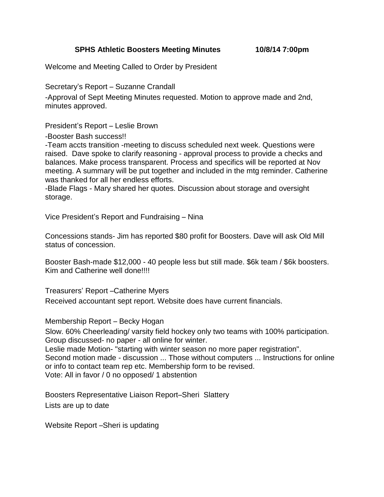**SPHS Athletic Boosters Meeting Minutes 10/8/14 7:00pm**

Welcome and Meeting Called to Order by President

Secretary's Report – Suzanne Crandall

-Approval of Sept Meeting Minutes requested. Motion to approve made and 2nd, minutes approved.

President's Report – Leslie Brown

-Booster Bash success!!

-Team accts transition -meeting to discuss scheduled next week. Questions were raised. Dave spoke to clarify reasoning - approval process to provide a checks and balances. Make process transparent. Process and specifics will be reported at Nov meeting. A summary will be put together and included in the mtg reminder. Catherine was thanked for all her endless efforts.

-Blade Flags - Mary shared her quotes. Discussion about storage and oversight storage.

Vice President's Report and Fundraising – Nina

Concessions stands- Jim has reported \$80 profit for Boosters. Dave will ask Old Mill status of concession.

Booster Bash-made \$12,000 - 40 people less but still made. \$6k team / \$6k boosters. Kim and Catherine well done!!!!

Treasurers' Report –Catherine Myers

Received accountant sept report. Website does have current financials.

Membership Report – Becky Hogan

Slow. 60% Cheerleading/ varsity field hockey only two teams with 100% participation. Group discussed- no paper - all online for winter. Leslie made Motion- "starting with winter season no more paper registration". Second motion made - discussion ... Those without computers ... Instructions for online or info to contact team rep etc. Membership form to be revised.

Vote: All in favor / 0 no opposed/ 1 abstention

Boosters Representative Liaison Report–Sheri Slattery Lists are up to date

Website Report –Sheri is updating